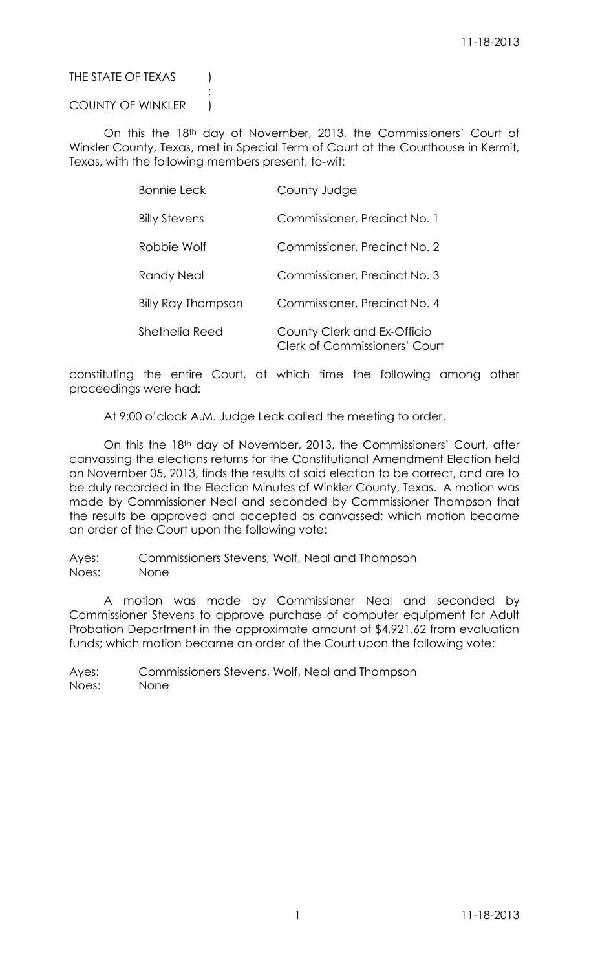# THE STATE OF TEXAS (

# COUNTY OF WINKLER |

:

On this the 18<sup>th</sup> day of November, 2013, the Commissioners' Court of Winkler County, Texas, met in Special Term of Court at the Courthouse in Kermit, Texas, with the following members present, to-wit:

| <b>Bonnie Leck</b>        | County Judge                                                        |
|---------------------------|---------------------------------------------------------------------|
| <b>Billy Stevens</b>      | Commissioner, Precinct No. 1                                        |
| Robbie Wolf               | Commissioner, Precinct No. 2                                        |
| Randy Neal                | Commissioner, Precinct No. 3                                        |
| <b>Billy Ray Thompson</b> | Commissioner, Precinct No. 4                                        |
| Shethelia Reed            | County Clerk and Ex-Officio<br><b>Clerk of Commissioners' Court</b> |

constituting the entire Court, at which time the following among other proceedings were had:

At 9:00 o'clock A.M. Judge Leck called the meeting to order.

On this the 18th day of November, 2013, the Commissioners' Court, after canvassing the elections returns for the Constitutional Amendment Election held on November 05, 2013, finds the results of said election to be correct, and are to be duly recorded in the Election Minutes of Winkler County, Texas. A motion was made by Commissioner Neal and seconded by Commissioner Thompson that the results be approved and accepted as canvassed; which motion became an order of the Court upon the following vote:

Ayes: Commissioners Stevens, Wolf, Neal and Thompson Noes: None

A motion was made by Commissioner Neal and seconded by Commissioner Stevens to approve purchase of computer equipment for Adult Probation Department in the approximate amount of \$4,921.62 from evaluation funds; which motion became an order of the Court upon the following vote: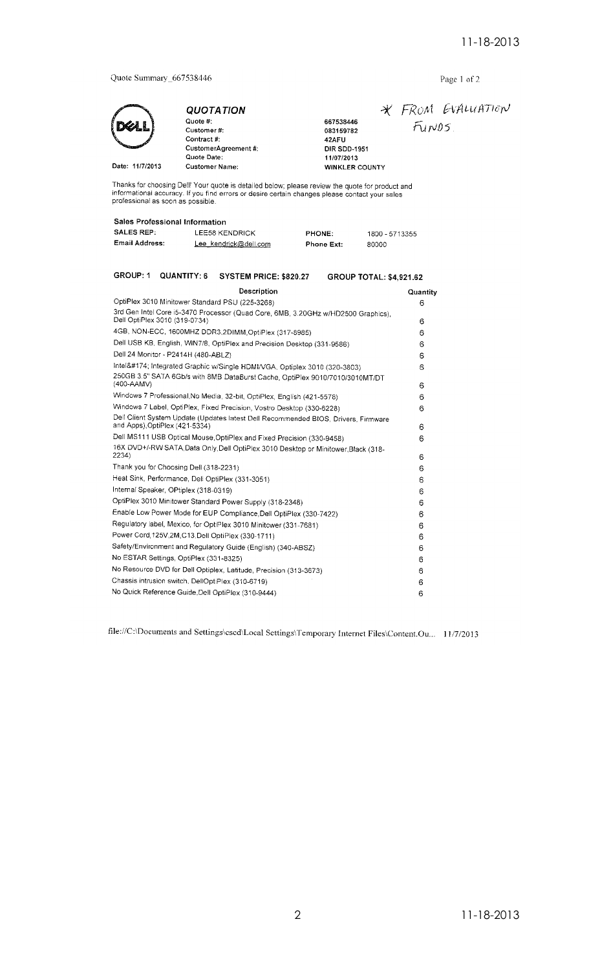Quote Summary\_667538446

Date: 11/7/2013

QUOTATION Quote #: Customer#: Contract #: CustomerAgreement #: Quote Date: Customer Name:

# Page 1 of 2

\* FROM EVALUATION  $F_{UVDS}$ 11/07/2013<br>WINKLER COUNTY

Thanks for choosing Dell! Your quote is detailed below; please review the quote for product and informational accuracy. If you find errors or desire certain changes please contact your sales professional as soon as possibl

667538446<br>083159782

**DIR SDD-1951** 

42AFU

## Sales Professional Information

| <b>SALES REP:</b> | LEE58 KENDRICK        | <b>PHONE:</b>     | 1800 - 5713355 |
|-------------------|-----------------------|-------------------|----------------|
| Email Address:    | Lee kendrick@dell.com | <b>Phone Ext:</b> | 80000          |

| GROUP: 1   | QUANTITY: 6                                       | SYSTEM PRICE: \$820.27                                                             | <b>GROUP TOTAL: \$4.921.62</b> |          |
|------------|---------------------------------------------------|------------------------------------------------------------------------------------|--------------------------------|----------|
|            |                                                   | Description                                                                        |                                | Quantity |
|            |                                                   | OptiPlex 3010 Minitower Standard PSU (225-3268)                                    |                                | 6        |
|            | Dell OptiPlex 3010 (319-0734)                     | 3rd Gen Intel Core i5-3470 Processor (Quad Core, 6MB, 3.20GHz w/HD2500 Graphics),  |                                | 6        |
|            |                                                   | 4GB, NON-ECC, 1600MHZ DDR3,2DIMM, OptiPlex (317-8985)                              |                                | 6        |
|            |                                                   | Dell USB KB, English, WIN7/8, OptiPlex and Precision Desktop (331-9586)            |                                | 6        |
|            | Dell 24 Monitor - P2414H (480-ABLZ)               |                                                                                    |                                | 6        |
|            |                                                   | Intel® Integrated Graphic w/Single HDMI/VGA, Optiplex 3010 (320-3803)              |                                | 6        |
| (400-AAMV) |                                                   | 250GB 3.5" SATA 6Gb/s with 8MB DataBurst Cache, OptiPlex 9010/7010/3010MT/DT       |                                | 6        |
|            |                                                   | Windows 7 Professional, No Media, 32-bit, OptiPlex, English (421-5578)             |                                | 6        |
|            |                                                   | Windows 7 Label, OptiPlex, Fixed Precision, Vostro Desktop (330-6228)              |                                | 6        |
|            | and Apps), OptiPlex (421-5334)                    | Dell Client System Update (Updates latest Dell Recommended BIOS, Drivers, Firmware |                                | 6        |
|            |                                                   | Dell MS111 USB Optical Mouse, OptiPlex and Fixed Precision (330-9458)              |                                | 6        |
| 2234)      |                                                   | 16X DVD+/-RW SATA, Data Only, Dell OptiPlex 3010 Desktop or Minitower, Black (318- |                                | 6        |
|            | Thank you for Choosing Dell (318-2231)            |                                                                                    |                                | 6        |
|            | Heat Sink, Performance, Dell OptiPlex (331-3051)  |                                                                                    |                                | 6        |
|            | Internal Speaker, OPtiplex (318-0319)             |                                                                                    |                                | 6        |
|            |                                                   | OptiPlex 3010 Minitower Standard Power Supply (318-2348)                           |                                | 6        |
|            |                                                   | Enable Low Power Mode for EUP Compliance Dell OptiPlex (330-7422)                  |                                | 6        |
|            |                                                   | Regulatory label, Mexico, for OptiPlex 3010 Minitower (331-7681)                   |                                | 6        |
|            |                                                   | Power Cord, 125V, 2M, C13, Dell OptiPlex (330-1711)                                |                                | 6        |
|            |                                                   | Safety/Environment and Regulatory Guide (English) (340-ABSZ)                       |                                | 6        |
|            | No ESTAR Settings, OptiPlex (331-8325)            |                                                                                    |                                | 6        |
|            |                                                   | No Resource DVD for Dell Optiplex, Latitude, Precision (313-3673)                  |                                | 6        |
|            | Chassis intrusion switch, DellOptiPlex (310-6719) |                                                                                    |                                | 6        |
|            |                                                   | No Quick Reference Guide,Dell OptiPlex (310-9444)                                  |                                | 6        |

file://C:\Documents and Settings\cscd\Local Settings\Temporary Internet Files\Content.Ou... 11/7/2013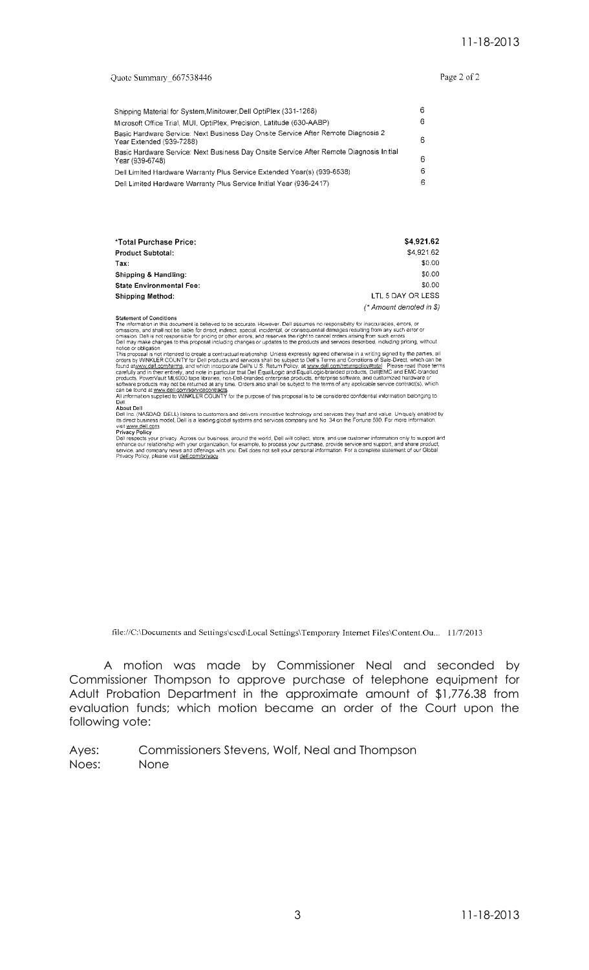#### Quote Summary\_667538446

Page 2 of 2

| Shipping Material for System Minitower Dell OptiPlex (331-1268)                                               | 6 |
|---------------------------------------------------------------------------------------------------------------|---|
| Microsoft Office Trial, MUI, OptiPlex, Precision, Latitude (630-AABP).                                        | 6 |
| Basic Hardware Service: Next Business Day Onsite Service After Remote Diagnosis 2<br>Year Extended (939-7288) | 6 |
| Basic Hardware Service: Next Business Day Onsite Service After Remote Diagnosis Initial<br>Year (939-6748)    | 6 |
| Dell Limited Hardware Warranty Plus Service Extended Year(s) (939-6538)                                       | 6 |
| Dell Limited Hardware Warranty Plus Service Initial Year (936-2417)                                           | 6 |

| *Total Purchase Price:          | \$4,921.62               |
|---------------------------------|--------------------------|
| <b>Product Subtotal:</b>        | \$4,921.62               |
| Tax:                            | \$0.00                   |
| Shipping & Handling:            | \$0.00                   |
| <b>State Environmental Fee:</b> | \$0.00                   |
| Shipping Method:                | LTL 5 DAY OR LESS        |
|                                 | (* Amount denoted in \$) |

Statement of Conditions<br>
The information in this document is believed to be accurate. However, Dell assumes no responsibility for inaccuracies, errors, or<br>
omissions, and shall not be liable for direct, indirect special, i

Dell.<br>About Dell<br>Dell Inc. (NASDAQ: DELL) listens to customers and delivers innovative technology and services they trust and value. Uniquely enabled by<br>Its direct business model, Dell is a leading global systems and servi

The syntem of provides your privacy. Across our business, around the world, Dell will collect, store, and use customer information only to support and<br>enhance our relationship with your organization, for example, to proces

file://C:\Documents and Settings\cscd\Local Settings\Temporary Internet Files\Content.Ou... 11/7/2013

A motion was made by Commissioner Neal and seconded by Commissioner Thompson to approve purchase of telephone equipment for Adult Probation Department in the approximate amount of \$1,776.38 from evaluation funds; which motion became an order of the Court upon the following vote: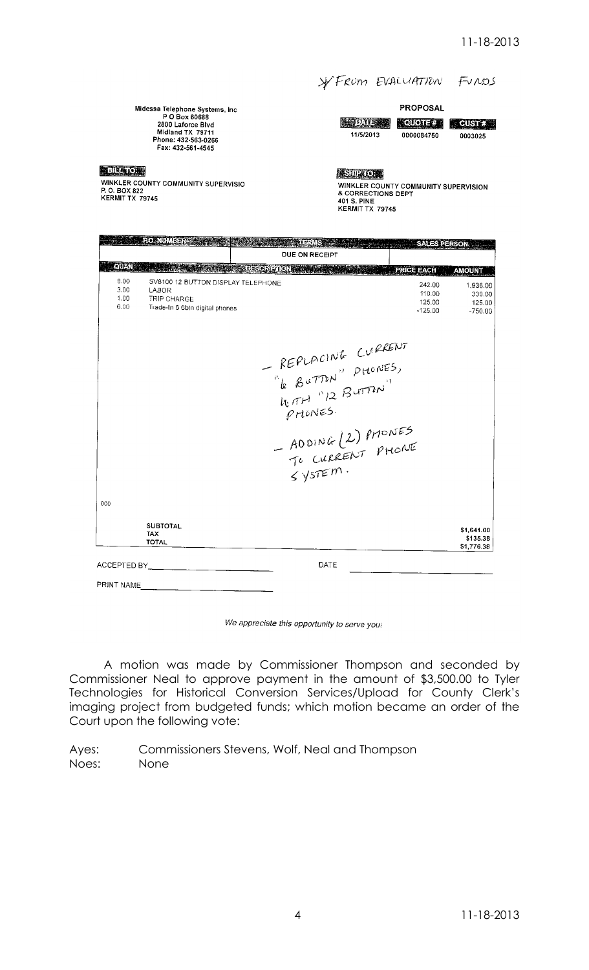#### \* FROM EVALUATION FUROS

**PROPOSAL** 

Midessa Telephone Systems, Inc<br>P O Box 60688<br>2800 Laforce Blvd<br>Midland TX 79711<br>Phone: 432-563-0266 Fax: 432-561-4545

### **EBRATCA**

WINKLER COUNTY COMMUNITY SUPERVISIO<br>P. O. BOX 822<br>KERMIT TX 79745

| 11/5/2013 |
|-----------|

**AQUOTE#1 CUST #2** 0000084750

0003025

**ESURCER** 

**EXAMPLER COUNTY COMMUNITY SUPERVISION<br>
WINKLER COUNTY COMMUNITY SUPERVISION<br>
401 S. PINE<br>
KERMIT TX 79745** 

|                              | PO.NUME)                                                                                     |                                                                                       | SALES PERSON                              |
|------------------------------|----------------------------------------------------------------------------------------------|---------------------------------------------------------------------------------------|-------------------------------------------|
|                              |                                                                                              | DUE ON RECEIPT                                                                        |                                           |
| QUAN                         |                                                                                              | <b>SEPERATOR AND</b><br><b>PRICE EACH</b>                                             | <b>AMOUNT</b>                             |
| 8.00<br>3.00<br>1.00<br>6.00 | SV8100 12 BUTTON DISPLAY TELEPHONE<br>LABOR<br>TRIP CHARGE<br>Trade-In 6 6btn digital phones | 242.00<br>110.00<br>125.00<br>$-125.00$                                               | 1,936.00<br>330.00<br>125.00<br>$-750.00$ |
|                              |                                                                                              | REPLACING CURRENT<br>$p$ HONES.<br>- ADDING (2) PHONES<br>TO CURRENT PHONE<br>SYSTEM. |                                           |
| 000                          |                                                                                              |                                                                                       |                                           |
|                              | <b>SUBTOTAL</b><br><b>TAX</b><br><b>TOTAL</b>                                                |                                                                                       | \$1,641.00<br>\$135.38<br>\$1,776.38      |
| ACCEPTED BY                  |                                                                                              | DATE                                                                                  |                                           |
| PRINT NAME                   |                                                                                              |                                                                                       |                                           |

#### We appreciate this opportunity to serve you!

A motion was made by Commissioner Thompson and seconded by Commissioner Neal to approve payment in the amount of \$3,500.00 to Tyler Technologies for Historical Conversion Services/Upload for County Clerk's imaging project from budgeted funds; which motion became an order of the Court upon the following vote: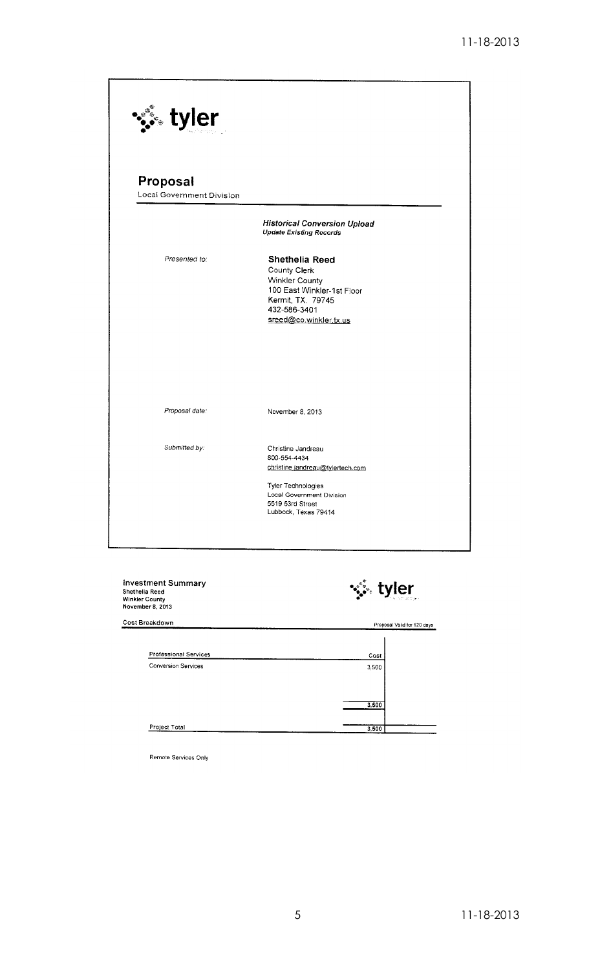| ं. tyler                         |                                                                                                                                                      |
|----------------------------------|------------------------------------------------------------------------------------------------------------------------------------------------------|
|                                  |                                                                                                                                                      |
| Proposal                         |                                                                                                                                                      |
| <b>Local Government Division</b> |                                                                                                                                                      |
|                                  | <b>Historical Conversion Upload</b><br><b>Update Existing Records</b>                                                                                |
| Presented to:                    | Shethelia Reed<br>County Clerk<br><b>Winkler County</b><br>100 East Winkler-1st Floor<br>Kermit, TX. 79745<br>432-586-3401<br>sreed@co.winkler.tx.us |
|                                  |                                                                                                                                                      |
| Proposal date:                   | November 8, 2013                                                                                                                                     |
| Submitted by:                    | Christine Jandreau<br>800-554-4434<br>christine jandreau@tylertech.com                                                                               |
|                                  | <b>Tyler Technologies</b><br>Local Government Division<br>5519 53rd Street<br>Lubbock, Texas 79414                                                   |

investment Summary<br>Shethelia Reed<br>Winkler County<br>November 8, 2013 ∵... tyler Cost Breakdown Proposal Valid for 120 days Professional Services Cost **Conversion Services** 3,500  $3,500$ Project Total  $3,500$ 

Remote Services Only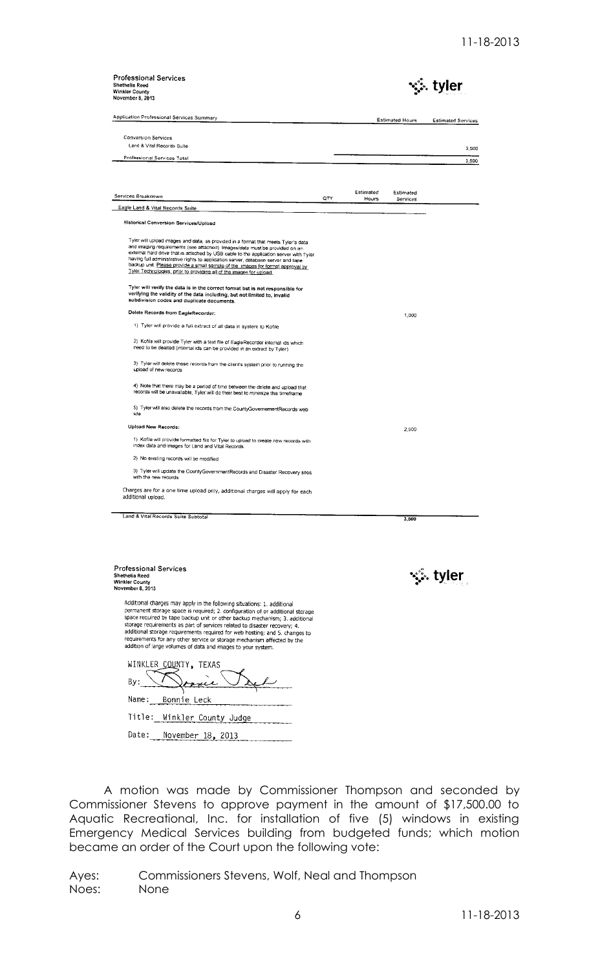| <b>Professional Services</b><br>Shethelia Reed<br><b>Winkler County</b><br>November 8, 2013                                                                                                                                                                                                                                                                                                                                                                                                                 |     |                    |                       | tyler                     |
|-------------------------------------------------------------------------------------------------------------------------------------------------------------------------------------------------------------------------------------------------------------------------------------------------------------------------------------------------------------------------------------------------------------------------------------------------------------------------------------------------------------|-----|--------------------|-----------------------|---------------------------|
| Application Professional Services Summary                                                                                                                                                                                                                                                                                                                                                                                                                                                                   |     |                    | Estimated Hours       | <b>Estimated Services</b> |
| <b>Conversion Services</b>                                                                                                                                                                                                                                                                                                                                                                                                                                                                                  |     |                    |                       |                           |
| Land & Vital Records Suite                                                                                                                                                                                                                                                                                                                                                                                                                                                                                  |     |                    |                       | 3,500                     |
| Professional Services Total                                                                                                                                                                                                                                                                                                                                                                                                                                                                                 |     |                    |                       |                           |
|                                                                                                                                                                                                                                                                                                                                                                                                                                                                                                             |     |                    |                       | 3,500                     |
| Services Breakdown                                                                                                                                                                                                                                                                                                                                                                                                                                                                                          | QTY | Estimated<br>Hours | Estimated<br>Services |                           |
| Eagle Land & Vital Records Suite                                                                                                                                                                                                                                                                                                                                                                                                                                                                            |     |                    |                       |                           |
| Historical Conversion Services/Upload                                                                                                                                                                                                                                                                                                                                                                                                                                                                       |     |                    |                       |                           |
| Tyler will upload images and data, as provided in a format that meets Tyler's data<br>and imaging requirements (see attached) Images/data must be provided on an<br>external hard drive that is attached by USB cable to the application server with Tyler<br>having full administrative rights to application server, database server and tape<br>backup unit. Please provide a small sample of the limages for format approval by<br>Tyler Technologies, prior to providing all of the images for upload. |     |                    |                       |                           |
| Tyler will verify the data is in the correct format but is not responsible for<br>verifying the validity of the data including, but not limited to, invalid<br>subdivision codes and duplicate documents.                                                                                                                                                                                                                                                                                                   |     |                    |                       |                           |
| Delete Records from EagleRecorder:                                                                                                                                                                                                                                                                                                                                                                                                                                                                          |     |                    | 1,000                 |                           |
| 1) Tyler will provide a full extract of all data in system to Kofile                                                                                                                                                                                                                                                                                                                                                                                                                                        |     |                    |                       |                           |
| 2) Kofile will provide Tyler with a text file of EagleRecorder internal ids which<br>need to be deleted (internal ids can be provided in an extract by Tyler).                                                                                                                                                                                                                                                                                                                                              |     |                    |                       |                           |
| 3) Tyler will delete these records from the client's system prior to running the<br>upload of new records                                                                                                                                                                                                                                                                                                                                                                                                   |     |                    |                       |                           |
| 4) Note that there may be a period of time between the delete and upload that<br>records will be unavailable, Tyler will do their best to minimize this timeframe                                                                                                                                                                                                                                                                                                                                           |     |                    |                       |                           |
| 5) Tyler will also delete the records from the CountyGovernementRecords web<br>site                                                                                                                                                                                                                                                                                                                                                                                                                         |     |                    |                       |                           |
| Upload New Records:                                                                                                                                                                                                                                                                                                                                                                                                                                                                                         |     |                    | 2,500                 |                           |
| 1) Kofile will provide formatted file for Tyler to upload to create new records with<br>index data and images for Land and Vital Records.                                                                                                                                                                                                                                                                                                                                                                   |     |                    |                       |                           |
| 2) No existing records will be modified                                                                                                                                                                                                                                                                                                                                                                                                                                                                     |     |                    |                       |                           |
| 3) Tyler will update the CountyGovernmentRecords and Disaster Recovery sites<br>with the new records                                                                                                                                                                                                                                                                                                                                                                                                        |     |                    |                       |                           |
| Charges are for a one time upload only, additional charges will apply for each<br>additional upload.                                                                                                                                                                                                                                                                                                                                                                                                        |     |                    |                       |                           |
| Land & Vital Records Suite Subtotal                                                                                                                                                                                                                                                                                                                                                                                                                                                                         |     |                    | 3,500                 |                           |
|                                                                                                                                                                                                                                                                                                                                                                                                                                                                                                             |     |                    |                       |                           |
|                                                                                                                                                                                                                                                                                                                                                                                                                                                                                                             |     |                    |                       |                           |

| <b>Professional Services</b><br>Shethelia Reed<br>Winkler County<br>November 8, 2013 |
|--------------------------------------------------------------------------------------|
|                                                                                      |

•्. tyler

Additional charges may apply in the following situations: 1. additional<br>permanent storage space is required; 2. configuration of or additional storage<br>space required by tape backup unit or other backup mechanism; 3. additi

| WINKLER COUNTY, TEXAS       |
|-----------------------------|
| By:                         |
| Name:<br>- Bonnie Leck      |
| Title: Winkler County Judge |
| Date:<br>November 18, 2013  |

A motion was made by Commissioner Thompson and seconded by Commissioner Stevens to approve payment in the amount of \$17,500.00 to Aquatic Recreational, Inc. for installation of five (5) windows in existing Emergency Medical Services building from budgeted funds; which motion became an order of the Court upon the following vote: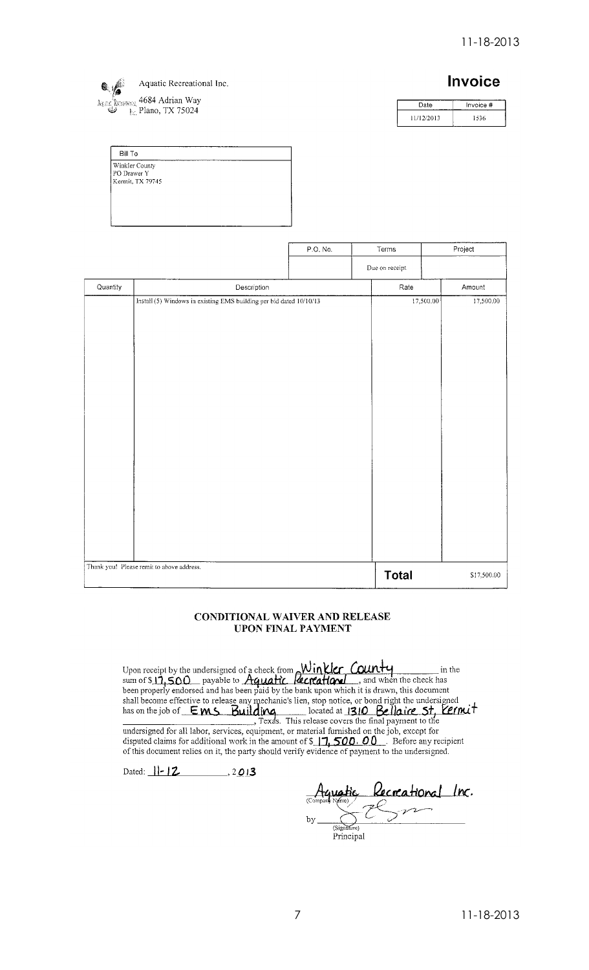

# **Invoice**

| Date       | Invoice # |
|------------|-----------|
| 11/12/2013 | 1536      |

| Winkler County<br>PO Drawer Y<br>l Kermit, TX 79745 |  |
|-----------------------------------------------------|--|
|                                                     |  |
|                                                     |  |
|                                                     |  |
|                                                     |  |
|                                                     |  |

|          |                                                                     | P.O. No. | Terms          | Project                |
|----------|---------------------------------------------------------------------|----------|----------------|------------------------|
|          |                                                                     |          | Due on receipt |                        |
| Quantity | Description                                                         |          | Rate           | Amount                 |
|          | Install (5) Windows in existing EMS building per bid dated 10/10/13 |          |                | 17,500.00<br>17,500.00 |
|          | Thank you! Please remit to above address.                           |          | <b>Total</b>   | \$17,500.00            |

#### CONDITIONAL WAIVER AND RELEASE **UPON FINAL PAYMENT**

Upon receipt by the undersigned of a check from  $\frac{\text{Winkler}}{\text{kcrkature}}$  ( $\frac{\text{Winkler}}{\text{num}}$  in the sum of  $\$11,500$  payable to  $\frac{\text{Aquatic}}{\text{Aquatic}}$   $\frac{\text{Rcrkational}}{\text{length}}$ , and when the check has been properly endorsed and has been pia undersigned for all labor, services, equipment, or material furnished on the job, except for<br>disputed claims for additional work in the amount of  $\frac{1}{2}$ , 500. 00. Before any recipient<br>of this document relies on it, the

Dated:  $||-|2$ , 2013

Aquatic Recreational Inc. bу Principal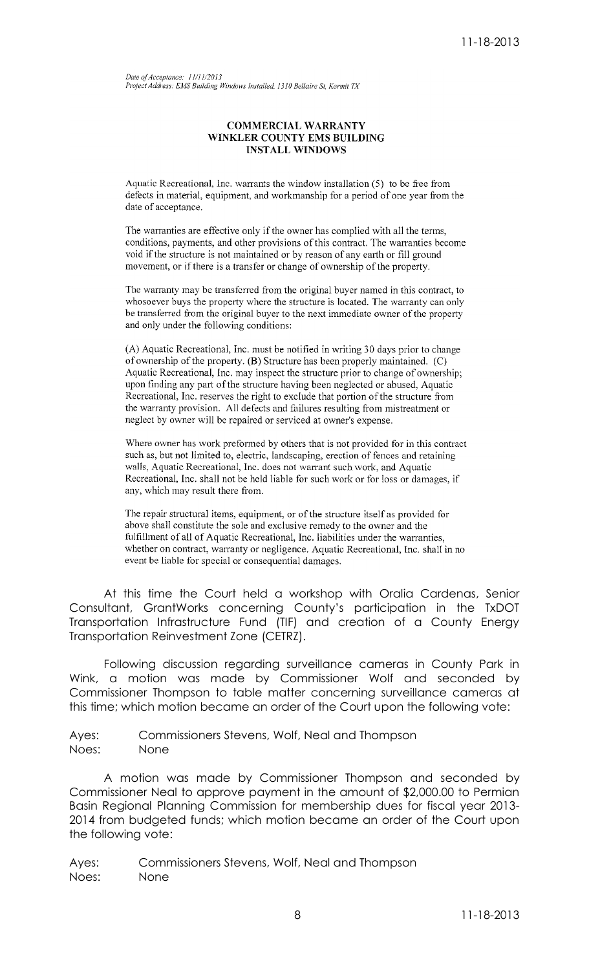Date of Acceptance: 11/11/2013 Project Address: EMS Building Windows Installed, 1310 Bellaire St, Kermit TX

#### **COMMERCIAL WARRANTY** WINKLER COUNTY EMS BUILDING **INSTALL WINDOWS**

Aquatic Recreational, Inc. warrants the window installation (5) to be free from defects in material, equipment, and workmanship for a period of one year from the date of acceptance.

The warranties are effective only if the owner has complied with all the terms, conditions, payments, and other provisions of this contract. The warranties become void if the structure is not maintained or by reason of any earth or fill ground movement, or if there is a transfer or change of ownership of the property.

The warranty may be transferred from the original buyer named in this contract, to whosoever buys the property where the structure is located. The warranty can only be transferred from the original buyer to the next immediate owner of the property and only under the following conditions:

(A) Aquatic Recreational, Inc. must be notified in writing 30 days prior to change of ownership of the property. (B) Structure has been properly maintained. (C) Aquatic Recreational, Inc. may inspect the structure prior to change of ownership; upon finding any part of the structure having been neglected or abused, Aquatic Recreational, Inc. reserves the right to exclude that portion of the structure from the warranty provision. All defects and failures resulting from mistreatment or neglect by owner will be repaired or serviced at owner's expense.

Where owner has work preformed by others that is not provided for in this contract such as, but not limited to, electric, landscaping, erection of fences and retaining walls, Aquatic Recreational, Inc. does not warrant such work, and Aquatic Recreational, Inc. shall not be held liable for such work or for loss or damages, if any, which may result there from.

The repair structural items, equipment, or of the structure itself as provided for above shall constitute the sole and exclusive remedy to the owner and the fulfillment of all of Aquatic Recreational, Inc. liabilities under the warranties, whether on contract, warranty or negligence. Aquatic Recreational, Inc. shall in no event be liable for special or consequential damages.

At this time the Court held a workshop with Oralia Cardenas, Senior Consultant, GrantWorks concerning County's participation in the TxDOT Transportation Infrastructure Fund (TIF) and creation of a County Energy Transportation Reinvestment Zone (CETRZ).

Following discussion regarding surveillance cameras in County Park in Wink, a motion was made by Commissioner Wolf and seconded by Commissioner Thompson to table matter concerning surveillance cameras at this time; which motion became an order of the Court upon the following vote:

Ayes: Commissioners Stevens, Wolf, Neal and Thompson Noes: None

A motion was made by Commissioner Thompson and seconded by Commissioner Neal to approve payment in the amount of \$2,000.00 to Permian Basin Regional Planning Commission for membership dues for fiscal year 2013- 2014 from budgeted funds; which motion became an order of the Court upon the following vote: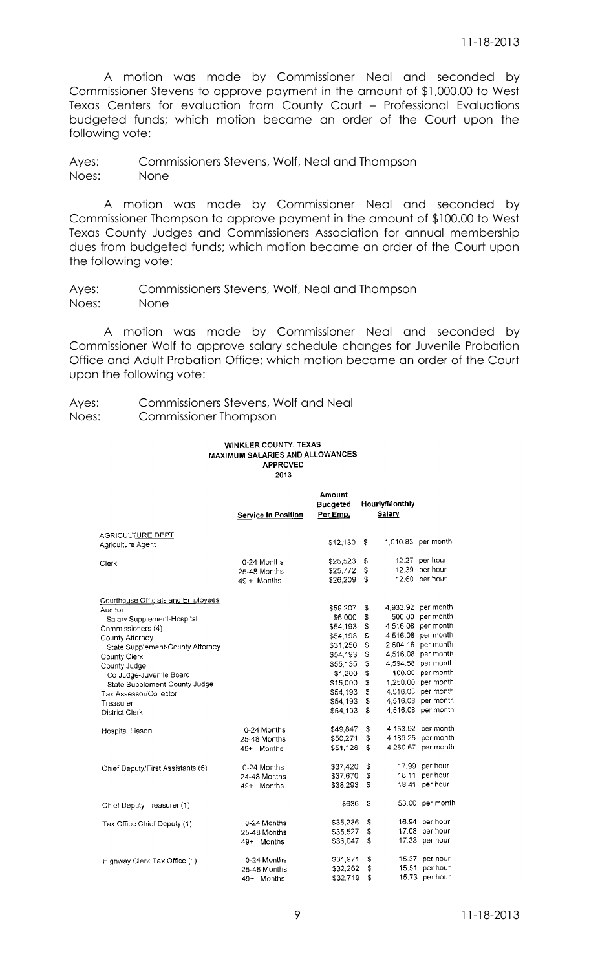A motion was made by Commissioner Neal and seconded by Commissioner Stevens to approve payment in the amount of \$1,000.00 to West Texas Centers for evaluation from County Court – Professional Evaluations budgeted funds; which motion became an order of the Court upon the following vote:

Ayes: Commissioners Stevens, Wolf, Neal and Thompson Noes: None

A motion was made by Commissioner Neal and seconded by Commissioner Thompson to approve payment in the amount of \$100.00 to West Texas County Judges and Commissioners Association for annual membership dues from budgeted funds; which motion became an order of the Court upon the following vote:

Ayes: Commissioners Stevens, Wolf, Neal and Thompson Noes: None

A motion was made by Commissioner Neal and seconded by Commissioner Wolf to approve salary schedule changes for Juvenile Probation Office and Adult Probation Office; which motion became an order of the Court upon the following vote:

Ayes: Commissioners Stevens, Wolf and Neal Noes: Commissioner Thompson

#### **WINKLER COUNTY, TEXAS** MAXIMUM SALARIES AND ALLOWANCES **APPROVED** 2013

|                                                                                                                                                                                                                                                                                                                     | <b>Service In Position</b>                   | Amount<br><b>Budgeted</b><br>Per Emp.                                                                                                     |                                                                      | <b>Hourly/Monthly</b><br>Salary            |                                                                                                                                                                                                                                |
|---------------------------------------------------------------------------------------------------------------------------------------------------------------------------------------------------------------------------------------------------------------------------------------------------------------------|----------------------------------------------|-------------------------------------------------------------------------------------------------------------------------------------------|----------------------------------------------------------------------|--------------------------------------------|--------------------------------------------------------------------------------------------------------------------------------------------------------------------------------------------------------------------------------|
| AGRICULTURE DEPT<br>Agriculture Agent                                                                                                                                                                                                                                                                               |                                              | \$12,130                                                                                                                                  | S                                                                    |                                            | 1,010.83 per month                                                                                                                                                                                                             |
| Clerk                                                                                                                                                                                                                                                                                                               | 0-24 Months<br>25-48 Months<br>$49 +$ Months | \$25,523<br>\$25,772<br>\$26,209                                                                                                          | \$<br>\$<br>\$                                                       |                                            | 12.27 per hour<br>12.39 per hour<br>12.60 per hour                                                                                                                                                                             |
| Courthouse Officials and Employees<br>Auditor<br>Salary Supplement-Hospital<br>Commissioners (4)<br>County Attorney<br>State Supplement-County Attorney<br>County Clerk<br>County Judge<br>Co Judge-Juvenile Board<br>State Supplement-County Judge<br>Tax Assessor/Collector<br>Treasurer<br><b>District Clerk</b> |                                              | \$59,207<br>\$6,000<br>\$54,193<br>\$54,193<br>\$31,250<br>\$54,193<br>\$55,135<br>\$1,200<br>\$15,000<br>\$54,193<br>S54 193<br>\$54,193 | \$<br>\$<br>\$<br>\$<br>\$<br>\$<br>\$<br>\$<br>\$<br>\$<br>\$<br>\$ | 500.00<br>4.516.08<br>4,516.08<br>4,516.08 | 4,933.92 per month<br>per month<br>4,516.08 per month<br>per month<br>2,604.16 per month<br>4,516.08 per month<br>4,594.58 per month<br>100.00 per month<br>1,250.00 per month<br>per month<br>4,516.08 per month<br>per month |
| Hospital Liason                                                                                                                                                                                                                                                                                                     | 0-24 Months<br>25-48 Months<br>49+ Months    | \$49,847<br>\$50,271<br>\$51,128                                                                                                          | \$<br>\$<br>\$                                                       | 4.189.25<br>4.260.67                       | 4.153.92 per month<br>per month<br>per month                                                                                                                                                                                   |
| Chief Deputy/First Assistants (6)                                                                                                                                                                                                                                                                                   | 0-24 Months<br>24-48 Months<br>49+ Months    | \$37,420<br>\$37,670<br>\$38,293                                                                                                          | \$<br>\$<br>\$                                                       |                                            | 17.99 per hour<br>18.11 per hour<br>18.41 per hour                                                                                                                                                                             |
| Chief Deputy Treasurer (1)                                                                                                                                                                                                                                                                                          |                                              | \$636                                                                                                                                     | \$                                                                   |                                            | 53.00 per month                                                                                                                                                                                                                |
| Tax Office Chief Deputy (1)                                                                                                                                                                                                                                                                                         | 0-24 Months<br>25-48 Months<br>49+ Months    | \$35,236<br>\$35,527<br>\$36,047                                                                                                          | \$<br>\$<br>\$                                                       | 17.08<br>17.33                             | 16.94 per hour<br>per hour<br>per hour                                                                                                                                                                                         |
| Highway Clerk Tax Office (1)                                                                                                                                                                                                                                                                                        | 0-24 Months<br>25-48 Months<br>49+<br>Months | \$31,971<br>\$32,262<br>\$32,719                                                                                                          | \$<br>\$<br>\$                                                       | 15.37<br>15.51<br>15.73                    | per hour<br>per hour<br>per hour                                                                                                                                                                                               |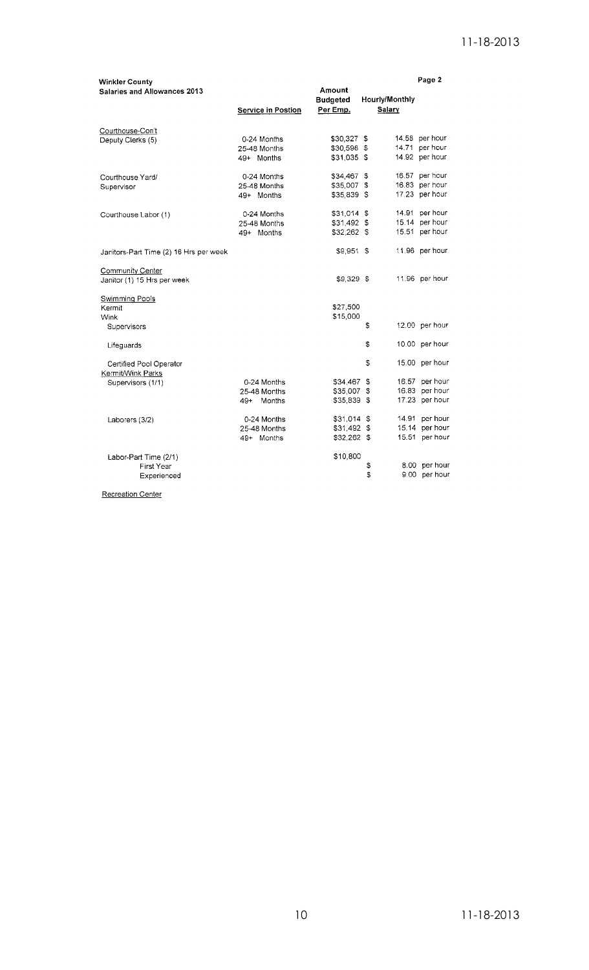| <b>Winkler County</b><br><b>Salaries and Allowances 2013</b> |                    | Amount                      |                                 | Page 2         |
|--------------------------------------------------------------|--------------------|-----------------------------|---------------------------------|----------------|
|                                                              | Service in Postion | <b>Budgeted</b><br>Per Emp. | <b>Hourly/Monthly</b><br>Salary |                |
| Courthouse-Con't                                             |                    |                             |                                 |                |
| Deputy Clerks (5)                                            | 0-24 Months        | \$30,327 \$                 |                                 | 14.58 per hour |
|                                                              | 25-48 Months       | \$30,598 \$                 |                                 | 14.71 per hour |
|                                                              | 49+ Months         | $$31,035$ \$                |                                 | 14.92 per hour |
| Courthouse Yard/                                             | 0-24 Months        | \$34,467 \$                 |                                 | 16.57 per hour |
| Supervisor                                                   | 25-48 Months       | \$35,007 \$                 |                                 | 16.83 per hour |
|                                                              | 49+ Months         | \$35,839 \$                 |                                 | 17.23 per hour |
| Courthouse Labor (1)                                         | 0-24 Months        | \$31,014 \$                 |                                 | 14.91 per hour |
|                                                              | 25-48 Months       | \$31,492 \$                 |                                 | 15.14 per hour |
|                                                              | 49+ Months         | \$32,262 \$                 |                                 | 15.51 per hour |
| Janitors-Part Time (2) 16 Hrs per week                       |                    | \$9.951 \$                  |                                 | 11.96 per hour |
| Community Center                                             |                    |                             |                                 |                |
| Janitor (1) 15 Hrs per week                                  |                    | \$9,329 \$                  |                                 | 11.96 per hour |
| Swimming Pools                                               |                    |                             |                                 |                |
| Kermit                                                       |                    | \$27,500                    |                                 |                |
| Wink                                                         |                    | \$15,000                    |                                 |                |
| Supervisors                                                  |                    |                             | \$                              | 12.00 per hour |
| Lifeguards                                                   |                    |                             | \$                              | 10.00 per hour |
| Certified Pool Operator                                      |                    |                             | \$                              | 15.00 per hour |
| Kermit/Wink Parks                                            | 0-24 Months        | \$34,467 \$                 |                                 | 16.57 per hour |
| Supervisors (1/1)                                            |                    |                             |                                 | 16.83 per hour |
|                                                              | 25-48 Months       | \$35,007 \$                 |                                 | 17.23 per hour |
|                                                              | 49+<br>Months      | \$35,839 \$                 |                                 |                |
| Laborers (3/2)                                               | 0-24 Months        | $$31,014$ \$                |                                 | 14.91 per hour |
|                                                              | 25-48 Months       | \$31,492 \$                 |                                 | 15.14 per hour |
|                                                              | 49+ Months         | \$32,262 \$                 |                                 | 15.51 per hour |
| Labor-Part Time (2/1)                                        |                    | \$10,800                    |                                 |                |
| First Year                                                   |                    |                             | \$                              | 8.00 per hour  |
| Experienced                                                  |                    |                             | \$                              | 9.00 per hour  |

Recreation Center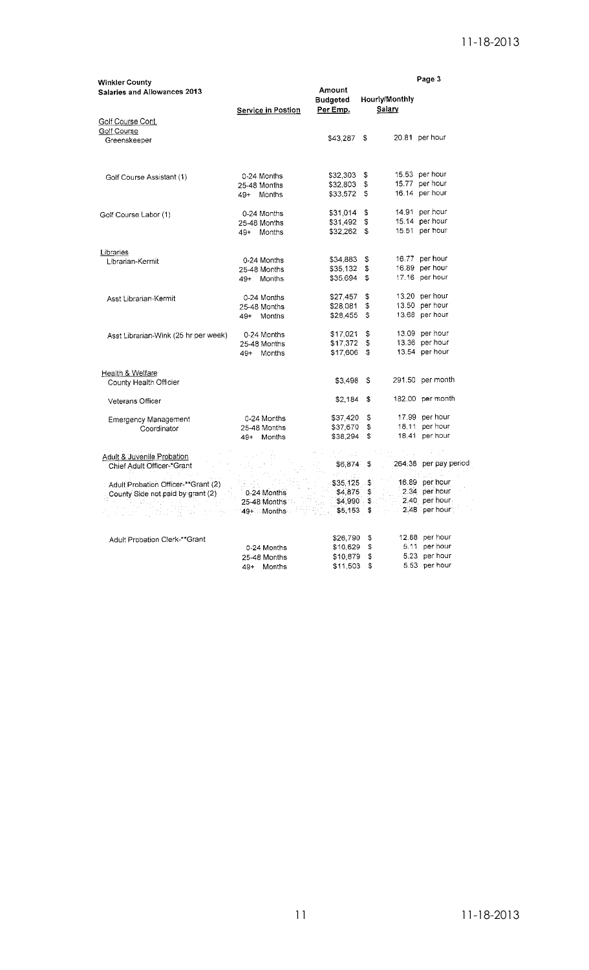|                                                       |                             |                           |          |                | Page 3                          |
|-------------------------------------------------------|-----------------------------|---------------------------|----------|----------------|---------------------------------|
| <b>Winkler County</b><br>Salaries and Allowances 2013 |                             | Amount<br><b>Budgeted</b> |          | Hourly/Monthly |                                 |
|                                                       | Service in Postion          | Per Emp.                  |          | <b>Salary</b>  |                                 |
| Golf Course Cont.                                     |                             |                           |          |                |                                 |
| Golf Course                                           |                             | $$43,287$ \$              |          |                | 20.81 per hour                  |
| Greenskeeper                                          |                             |                           |          |                |                                 |
| Golf Course Assistant (1)                             | 0-24 Months                 | $$32,303$ \$              |          |                | 15.53 per hour                  |
|                                                       | 25-48 Months                | \$32,803                  | \$       |                | 15.77 per hour                  |
|                                                       | Months<br>$49+$             | \$33,572 \$               |          |                | 16.14 per hour                  |
| Golf Course Labor (1)                                 | 0-24 Months                 | \$31,014                  | \$       |                | 14.91 per hour                  |
|                                                       | 25-48 Months                | \$31,492                  | \$       |                | 15.14 per hour                  |
|                                                       | 49+ Months                  | $$32,262$ \$              |          |                | 15.51 per hour                  |
| Libraries                                             |                             |                           |          |                | 16.77 per hour                  |
| Librarian-Kermit                                      | 0-24 Months<br>25-48 Months | \$34,883<br>\$35,132      | \$<br>\$ |                | 16.89 per hour                  |
|                                                       | 49+ Months                  | \$35,694                  | £.       |                | 17.16 per hour                  |
|                                                       |                             |                           |          |                |                                 |
| Asst Librarian-Kermit                                 | 0-24 Months                 | \$27,457                  | \$       |                | 13.20 per hour                  |
|                                                       | 25-48 Months                | \$28,081                  | \$       |                | 13.50 per hour                  |
|                                                       | 49+ Months                  | \$28,455                  | -S       |                | 13.68 per hour                  |
| Asst Librarian-Wink (25 hr per week)                  | 0-24 Months                 | \$17,021                  | \$       |                | 13.09 per hour                  |
|                                                       | 25-48 Months                | \$17.372                  | \$       |                | 13.36 per hour                  |
|                                                       | 49+ Months                  | \$17,606                  | \$       |                | 13.54 per hour                  |
| Health & Welfare                                      |                             |                           |          |                |                                 |
| County Health Officier                                |                             | \$3,498                   | S        |                | 291.50 per month                |
| Veterans Officer                                      |                             | \$2,184                   | \$       |                | 182.00 per month                |
| <b>Emergency Management</b>                           | 0-24 Months                 | \$37,420                  | \$       |                | 17.99 per hour                  |
| Coordinator                                           | 25-48 Months                | \$37,670                  | \$       |                | 18.11 per hour                  |
|                                                       | 49+ Months                  | \$38,294                  | \$       |                | 18.41 per hour                  |
| Adult & Juvenile Probation                            |                             |                           |          |                |                                 |
| Chief Adult Officer-*Grant                            |                             | \$6,874 \$                |          |                | 264.38 per pay period           |
| Adult Probation Officer-**Grant (2)                   |                             | $$35,125$ \$              |          |                | 16.89 per hour                  |
| County Side not paid by grant (2)                     | 0-24 Months                 | \$4,875                   | \$       |                | 2.34 per hour                   |
|                                                       | 25-48 Months                | \$4,990.                  | \$       |                | 2.40 per hour                   |
| 지수는 눈 죽이                                              | '49+∷ Months'⊹              | \$5,153                   | \$       |                | 2.48 per hour:                  |
|                                                       |                             |                           |          |                |                                 |
| Adult Probation Clerk-**Grant                         |                             | \$26,790                  | \$<br>s  |                | 12.88 per hour<br>5.11 per hour |
|                                                       | 0-24 Months<br>25-48 Months | \$10,629<br>\$10,879      | \$       |                | 5.23 per hour                   |
|                                                       | Months<br>49+               | \$11,503                  | \$       |                | 5.53 per hour                   |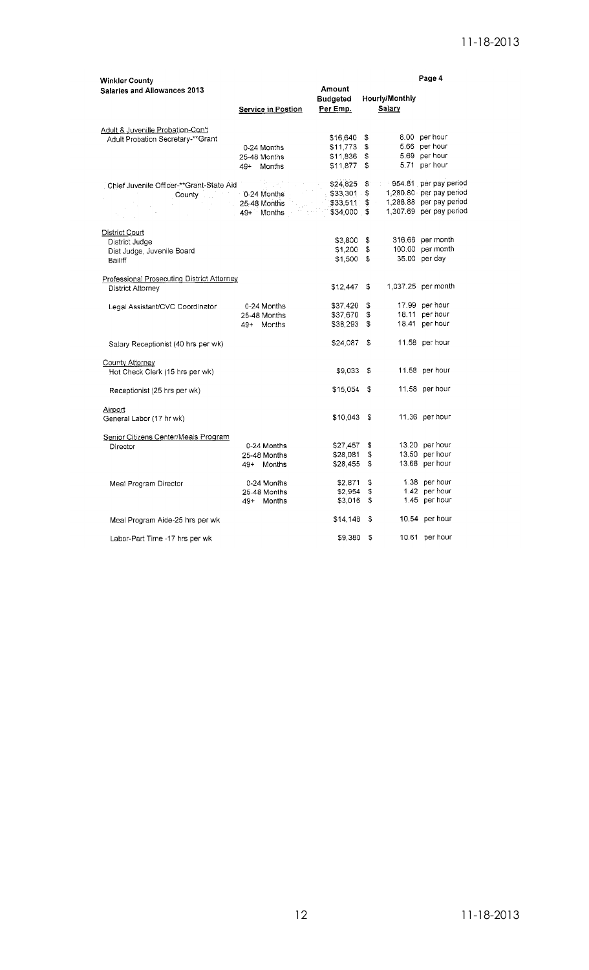| <b>Winkler County</b>                      |                                                                                                                                                                                                                                 |                   |                | Page 4                           |
|--------------------------------------------|---------------------------------------------------------------------------------------------------------------------------------------------------------------------------------------------------------------------------------|-------------------|----------------|----------------------------------|
| Salaries and Allowances 2013               |                                                                                                                                                                                                                                 | Amount            |                |                                  |
|                                            |                                                                                                                                                                                                                                 | <b>Budgeted</b>   | Hourly/Monthly |                                  |
|                                            | <b>Service in Postion</b>                                                                                                                                                                                                       | Per Emp.          | Salary         |                                  |
|                                            |                                                                                                                                                                                                                                 |                   |                |                                  |
| Adult & Juvenille Probation-Con't          |                                                                                                                                                                                                                                 |                   |                |                                  |
| Adult Probation Secretary-**Grant          |                                                                                                                                                                                                                                 | \$16,640 \$       |                | 8.00 per hour                    |
|                                            | 0-24 Months                                                                                                                                                                                                                     | $$11,773$ \$      |                | 5.66 per hour                    |
|                                            | 25-48 Months                                                                                                                                                                                                                    | $$11,836$ \$      |                | 5.69 per hour                    |
|                                            |                                                                                                                                                                                                                                 | $$11.877$ \$      |                | 5.71 per hour                    |
|                                            | 49+ Months                                                                                                                                                                                                                      |                   |                |                                  |
| Chief Juvenile Officer-**Grant-State Aid   | i Provinsi Provinsi Provinsi Provinsi Provinsi Provinsi Provinsi Provinsi Provinsi Provinsi Provinsi Provinsi<br>Provinsi Provinsi Provinsi Provinsi Provinsi Provinsi Provinsi Provinsi Provinsi Provinsi Provinsi Provinsi Pr |                   |                | \$24,825 \$954.81 per pay period |
| County <b>D-24 Months</b>                  |                                                                                                                                                                                                                                 | \$33,301 \$       |                | 1,280.80 per pay period          |
|                                            | 25-48 Months                                                                                                                                                                                                                    | \$33,511 \$       |                | 1,288.88 per pay period          |
| $\mathbb{R}^2$                             | 49+ Months                                                                                                                                                                                                                      | $5 - 534,000 - 5$ |                | 1,307.69 per pay period          |
|                                            |                                                                                                                                                                                                                                 |                   |                |                                  |
| <b>District Court</b>                      |                                                                                                                                                                                                                                 |                   |                |                                  |
| District Judge                             |                                                                                                                                                                                                                                 | \$3,800 \$        |                | 316.66 per month                 |
| Dist Judge, Juvenile Board                 |                                                                                                                                                                                                                                 | $$1,200$ \$       |                | 100.00 per month                 |
| Bailiff                                    |                                                                                                                                                                                                                                 | $$1,500$ \$       |                | 35.00 per day                    |
|                                            |                                                                                                                                                                                                                                 |                   |                |                                  |
| Professional Prosecuting District Attorney |                                                                                                                                                                                                                                 |                   |                |                                  |
| District Attorney                          |                                                                                                                                                                                                                                 | \$12,447 \$       |                | 1,037.25 per month               |
|                                            |                                                                                                                                                                                                                                 |                   |                |                                  |
| Legal Assistant/CVC Coordinator            | 0-24 Months                                                                                                                                                                                                                     | $$37,420$ \$      |                | 17.99 per hour                   |
|                                            | 25-48 Months                                                                                                                                                                                                                    | \$37,670 \$       |                | 18.11 per hour                   |
|                                            | 49+ Months                                                                                                                                                                                                                      | $$38,293$ \$      |                | 18.41 per hour                   |
| Salary Receptionist (40 hrs per wk)        |                                                                                                                                                                                                                                 | $$24,087$ \$      |                | 11.58 per hour                   |
|                                            |                                                                                                                                                                                                                                 |                   |                |                                  |
| County Attorney                            |                                                                                                                                                                                                                                 |                   |                |                                  |
| Hot Check Clerk (15 hrs per wk)            |                                                                                                                                                                                                                                 | \$9,033 \$        |                | 11.58 per hour                   |
|                                            |                                                                                                                                                                                                                                 |                   |                |                                  |
| Receptionist (25 hrs per wk)               |                                                                                                                                                                                                                                 | \$15,054 \$       |                | 11.58 per hour                   |
|                                            |                                                                                                                                                                                                                                 |                   |                |                                  |
| Airport                                    |                                                                                                                                                                                                                                 | $$10.043$ \$      |                | 11.36 per hour                   |
| General Labor (17 hr wk)                   |                                                                                                                                                                                                                                 |                   |                |                                  |
| Senior Citizens Center/Meals Program       |                                                                                                                                                                                                                                 |                   |                |                                  |
| Director                                   | 0-24 Months                                                                                                                                                                                                                     | $$27,457$ \$      |                | 13.20 per hour                   |
|                                            | 25-48 Months                                                                                                                                                                                                                    | \$28,081 \$       |                | 13.50 per hour                   |
|                                            | 49+ Months                                                                                                                                                                                                                      | $$28,455$ \$      |                | 13.68 per hour                   |
|                                            |                                                                                                                                                                                                                                 |                   |                |                                  |
| Meal Program Director                      | 0-24 Months                                                                                                                                                                                                                     | $$2.871$ \$       |                | 1.38 per hour                    |
|                                            | 25-48 Months                                                                                                                                                                                                                    | $$2,954$ \$       |                | 1.42 per hour                    |
|                                            | 49+ Months                                                                                                                                                                                                                      | $$3,016$ \$       |                | 1.45 per hour                    |
|                                            |                                                                                                                                                                                                                                 |                   |                |                                  |
| Meal Program Aide-25 hrs per wk            |                                                                                                                                                                                                                                 | $$14,148$ \$      |                | 10.54 per hour                   |
|                                            |                                                                                                                                                                                                                                 |                   |                |                                  |
| Labor-Part Time -17 hrs per wk             |                                                                                                                                                                                                                                 | \$9,380           | \$             | 10.61 per hour                   |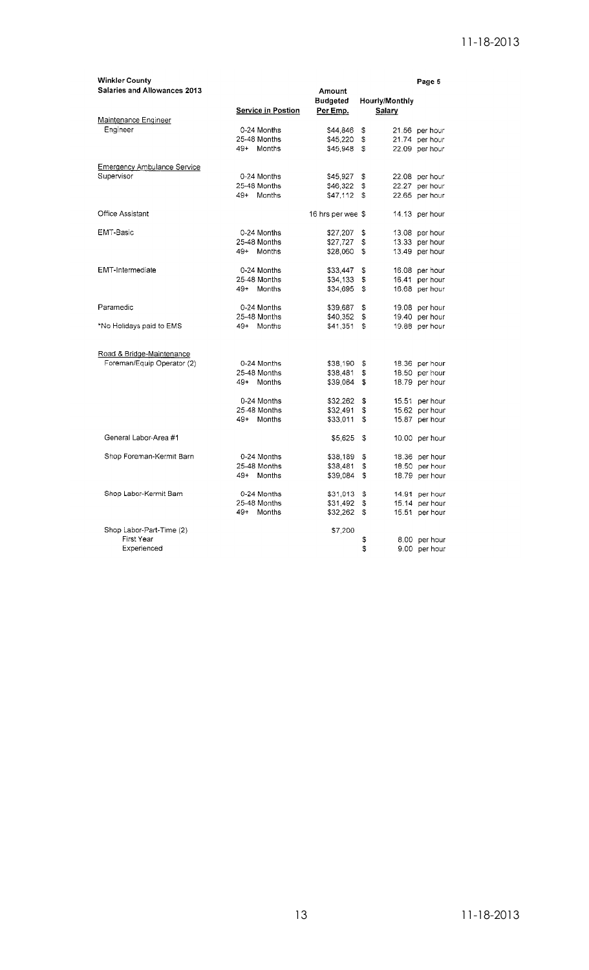| <b>Winkler County</b>                                   |                           |                   |                | Page 5         |
|---------------------------------------------------------|---------------------------|-------------------|----------------|----------------|
| Salaries and Allowances 2013                            |                           | Amount            |                |                |
|                                                         |                           | <b>Budgeted</b>   | Hourly/Monthly |                |
|                                                         | <b>Service in Postion</b> | Per Emp.          | Salary         |                |
| Maintenance Engineer                                    |                           |                   |                |                |
| Engineer                                                | 0-24 Months               | \$44,846          | \$             | 21.56 per hour |
|                                                         | 25-48 Months              | \$45,220          | \$             | 21.74 per hour |
|                                                         | 49+ Months                | \$45,948          | \$             | 22.09 per hour |
| <b>Emergency Ambulance Service</b>                      |                           |                   |                |                |
| Supervisor                                              | 0-24 Months               | \$45,927          | \$             | 22.08 per hour |
|                                                         | 25-48 Months              | \$46,322          | \$             | 22.27 per hour |
|                                                         | 49+ Months                | \$47,112          | \$             | 22.65 per hour |
| Office Assistant                                        |                           | 16 hrs per wee \$ |                | 14.13 per hour |
| EMT-Basic                                               | 0-24 Months               | \$27,207          | \$             | 13.08 per hour |
|                                                         | 25-48 Months              | \$27,727          | \$             | 13.33 per hour |
|                                                         | 49+ Months                | \$28,060          | \$             | 13.49 per hour |
| <b>EMT-Intermediate</b>                                 | 0-24 Months               | \$33,447          | \$             | 16.08 per hour |
|                                                         | 25-48 Months              | \$34,133          | \$             | 16.41 per hour |
|                                                         | 49+ Months                | \$34,695          | Ś              | 16.68 per hour |
|                                                         |                           |                   |                |                |
| Paramedic                                               | 0-24 Months               | \$39,687          | \$             | 19.08 per hour |
|                                                         | 25-48 Months              | \$40,352          | \$<br>19.40    | per hour       |
| *No Holidays paid to EMS                                | Months<br>$49+$           | \$41,351          | \$             | 19.88 per hour |
|                                                         |                           |                   |                |                |
| Road & Bridge-Maintenance<br>Foreman/Equip Operator (2) | 0-24 Months               | \$38,190          | \$             | 18.36 per hour |
|                                                         | 25-48 Months              | \$38,481          | \$             | 18.50 per hour |
|                                                         | $49+$<br>Months           | \$39,084          | \$             | 18.79 per hour |
|                                                         |                           |                   |                |                |
|                                                         | 0-24 Months               | \$32,262          | \$             | 15.51 per hour |
|                                                         | 25-48 Months              | \$32,491          | \$             | 15.62 per hour |
|                                                         | 49+ Months                | \$33,011          | \$             | 15.87 per hour |
| General Labor-Area #1                                   |                           | \$5,625           | \$             | 10.00 per hour |
| Shop Foreman-Kermit Barn                                | 0-24 Months               | \$38,189          | \$             | 18.36 per hour |
|                                                         | 25-48 Months              | \$38,481          | \$             | 18.50 per hour |
|                                                         | $49+$<br>Months           | \$39,084          | \$             | 18.79 per hour |
|                                                         |                           |                   |                |                |
| Shop Labor-Kermit Barn                                  | 0-24 Months               | \$31,013          | \$             | 14.91 per hour |
|                                                         | 25-48 Months              | \$31,492          | \$             | 15.14 per hour |
|                                                         | 49+<br>Months             | \$32,262          | \$             | 15.51 per hour |
| Shop Labor-Part-Time (2)                                |                           | \$7,200           |                |                |
| First Year                                              |                           |                   | \$             | 8.00 per hour  |
| Experienced                                             |                           |                   | S              | 9.00 per hour  |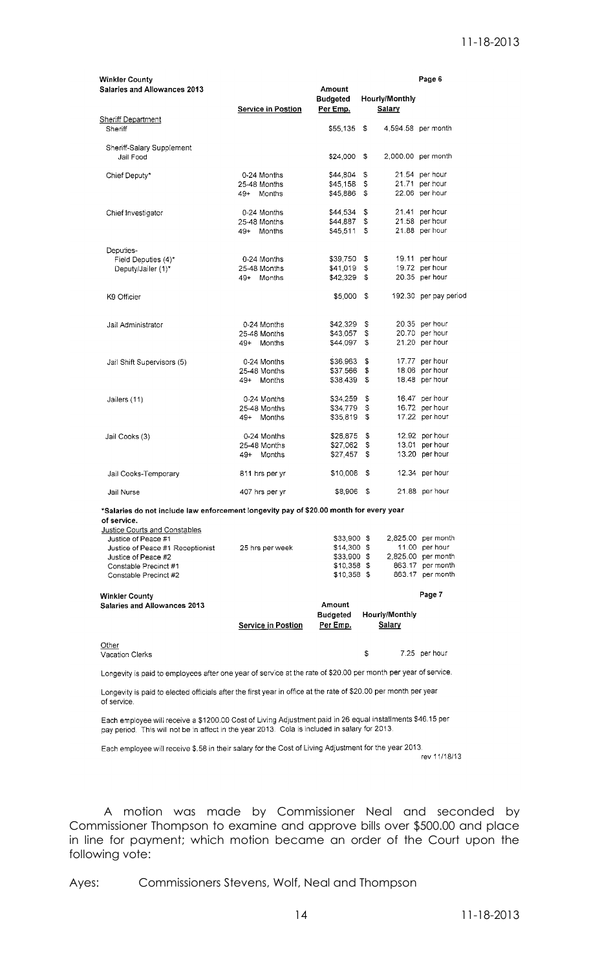| <b>Winkler County</b><br><b>Salaries and Allowances 2013</b>                                                   |                                 | Amount                      |          |                          | Page 6                               |
|----------------------------------------------------------------------------------------------------------------|---------------------------------|-----------------------------|----------|--------------------------|--------------------------------------|
|                                                                                                                | <b>Service in Postion</b>       | <b>Budgeted</b><br>Per Emp. |          | Hourly/Monthly<br>Salary |                                      |
| <b>Sheriff Department</b><br>Sheriff                                                                           |                                 | \$55,135                    | \$       | 4.594.58 per month       |                                      |
| Sheriff-Salary Supplement<br>Jail Food                                                                         |                                 | \$24,000                    | \$       | 2,000.00 per month       |                                      |
| Chief Deputy*                                                                                                  | 0-24 Months<br>25-48 Months     | \$44,804<br>\$45,158        | \$<br>s  |                          | 21.54 per hour<br>21.71 per hour     |
|                                                                                                                | 49+ Months                      | \$45,886                    | S        |                          | 22.06 per hour                       |
| Chief Investigator                                                                                             | 0-24 Months<br>25-48 Months     | \$44,534<br>\$44,887        | \$<br>\$ |                          | 21.41 per hour<br>21.58 per hour     |
|                                                                                                                | 49+ Months                      | \$45,511                    | S        |                          | 21.88 per hour                       |
| Deputies-<br>Field Deputies (4)*                                                                               | 0-24 Months                     | \$39,750                    | \$       |                          | 19.11 per hour                       |
| Deputy/Jailer (1)*                                                                                             | 25-48 Months<br>49+ Months      | \$41,019<br>\$42,329        | \$<br>\$ |                          | 19.72 per hour<br>20.35 per hour     |
| K9 Officier                                                                                                    |                                 | \$5,000                     | -\$      |                          | 192.30 per pay period                |
|                                                                                                                |                                 |                             |          |                          |                                      |
| Jail Administrator                                                                                             | 0-24 Months                     | \$42,329                    | \$       |                          | 20.35 per hour                       |
|                                                                                                                | 25-48 Months<br>Months<br>49+   | \$43,057<br>\$44,097        | \$<br>\$ |                          | 20.70 per hour<br>21.20 per hour     |
| Jail Shift Supervisors (5)                                                                                     | 0-24 Months                     | \$36,963                    | \$       |                          | 17.77 per hour                       |
|                                                                                                                | 25-48 Months<br>49+<br>Months   | \$37,566<br>\$38,439        | \$<br>\$ |                          | 18.06 per hour<br>18.48 per hour     |
| Jailers (11)                                                                                                   | 0-24 Months                     | \$34,259                    | \$       |                          | 16.47 per hour                       |
|                                                                                                                | 25-48 Months<br>Months<br>$49+$ | \$34,779<br>\$35,819        | S<br>\$  |                          | 16.72 per hour<br>17.22 per hour     |
| Jail Cooks (3)                                                                                                 | 0-24 Months                     | \$26,875                    | \$       |                          | 12.92 per hour                       |
|                                                                                                                | 25-48 Months<br>Months<br>49+   | \$27,062<br>\$27,457        | \$<br>\$ |                          | 13.01 per hour<br>13.20 per hour     |
| Jail Cooks-Temporary                                                                                           | 811 hrs per yr                  | \$10,008                    | \$       |                          | 12.34 per hour                       |
| Jail Nurse                                                                                                     | 407 hrs per yr                  | \$8,906                     | \$       |                          | 21.88 per hour                       |
| *Salaries do not include law enforcement longevity pay of \$20.00 month for every year<br>of service.          |                                 |                             |          |                          |                                      |
| Justice Courts and Constables                                                                                  |                                 |                             |          |                          |                                      |
| Justice of Peace #1                                                                                            |                                 | \$33,900 \$                 |          |                          | 2,825.00 per month                   |
| Justice of Peace #1 Receptionist<br>Justice of Peace #2                                                        | 25 hrs per week                 | \$14,300 \$<br>\$33,900 \$  |          |                          | 11.00 per hour<br>2,825.00 per month |
| Constable Precinct #1                                                                                          |                                 | \$10,358 \$                 |          |                          | 863.17 per month                     |
| Constable Precinct #2                                                                                          |                                 | \$10,358 \$                 |          |                          | 863.17 per month                     |
| <b>Winkler County</b><br><b>Salaries and Allowances 2013</b>                                                   |                                 | Amount                      |          |                          | Page 7                               |
|                                                                                                                |                                 | <b>Budgeted</b>             |          | Hourly/Monthly           |                                      |
|                                                                                                                | Service in Postion              | Per Emp.                    |          | <b>Salary</b>            |                                      |
| Other<br>Vacation Clerks                                                                                       |                                 |                             | \$       |                          | 7.25 per hour                        |
| Longevity is paid to employees after one year of service at the rate of \$20.00 per month per year of service. |                                 |                             |          |                          |                                      |

Longevity is paid to elected officials after the first year in office at the rate of \$20.00 per month per year of service.

Each employee will receive a \$1200.00 Cost of Living Adjustment paid in 26 equal installments \$46.15 per pay period. This will not be in affect in the year 2013. Cola is included in salary for 2013.

Each employee will receive \$.58 in their salary for the Cost of Living Adjustment for the year 2013. rev 11/18/13

A motion was made by Commissioner Neal and seconded by Commissioner Thompson to examine and approve bills over \$500.00 and place in line for payment; which motion became an order of the Court upon the following vote: